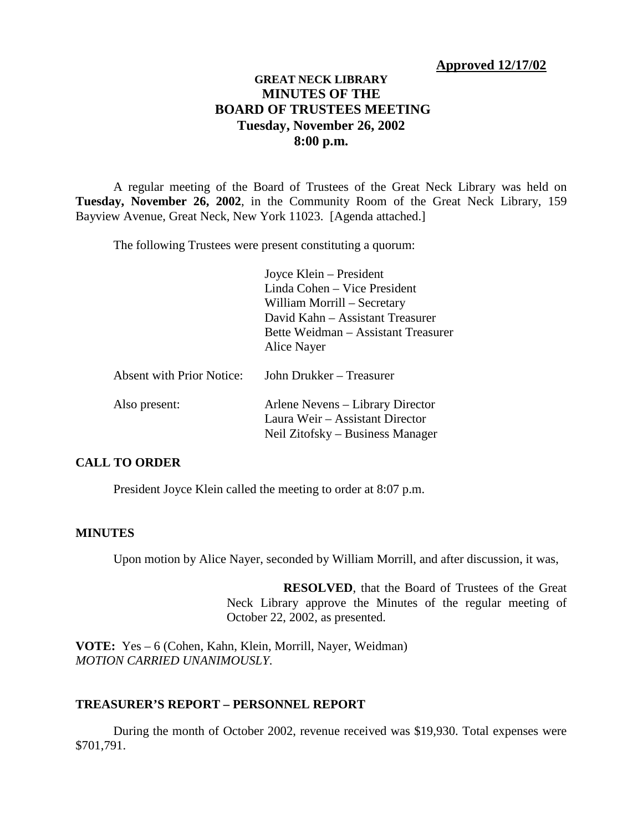# **GREAT NECK LIBRARY MINUTES OF THE BOARD OF TRUSTEES MEETING Tuesday, November 26, 2002 8:00 p.m.**

A regular meeting of the Board of Trustees of the Great Neck Library was held on **Tuesday, November 26, 2002**, in the Community Room of the Great Neck Library, 159 Bayview Avenue, Great Neck, New York 11023. [Agenda attached.]

The following Trustees were present constituting a quorum:

|                                  | Joyce Klein – President             |
|----------------------------------|-------------------------------------|
|                                  | Linda Cohen – Vice President        |
|                                  | William Morrill – Secretary         |
|                                  | David Kahn - Assistant Treasurer    |
|                                  | Bette Weidman - Assistant Treasurer |
|                                  | Alice Nayer                         |
| <b>Absent with Prior Notice:</b> | John Drukker – Treasurer            |
| Also present:                    | Arlene Nevens – Library Director    |
|                                  | Laura Weir – Assistant Director     |
|                                  | Neil Zitofsky – Business Manager    |

# **CALL TO ORDER**

President Joyce Klein called the meeting to order at 8:07 p.m.

## **MINUTES**

Upon motion by Alice Nayer, seconded by William Morrill, and after discussion, it was,

**RESOLVED**, that the Board of Trustees of the Great Neck Library approve the Minutes of the regular meeting of October 22, 2002, as presented.

**VOTE:** Yes – 6 (Cohen, Kahn, Klein, Morrill, Nayer, Weidman) *MOTION CARRIED UNANIMOUSLY.*

## **TREASURER'S REPORT – PERSONNEL REPORT**

During the month of October 2002, revenue received was \$19,930. Total expenses were \$701,791.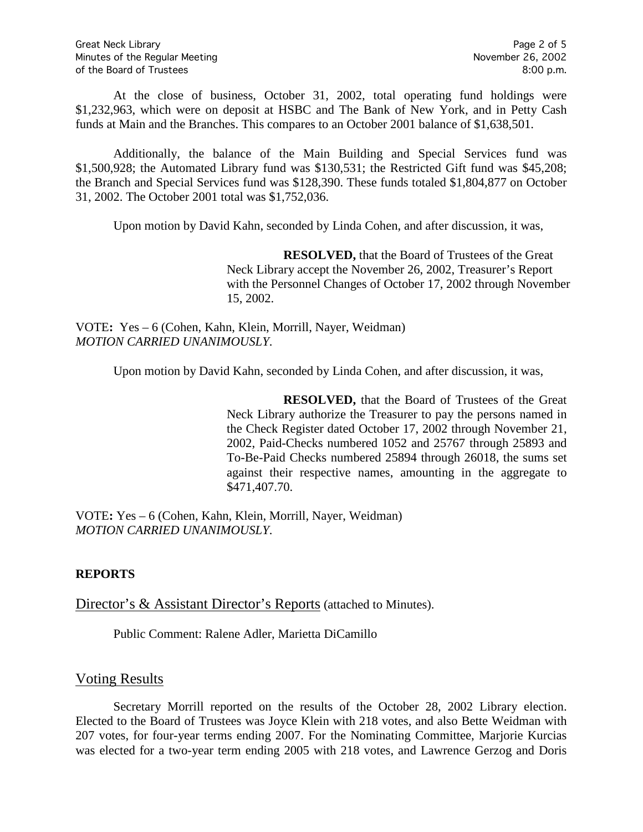At the close of business, October 31, 2002, total operating fund holdings were \$1,232,963, which were on deposit at HSBC and The Bank of New York, and in Petty Cash funds at Main and the Branches. This compares to an October 2001 balance of \$1,638,501.

Additionally, the balance of the Main Building and Special Services fund was \$1,500,928; the Automated Library fund was \$130,531; the Restricted Gift fund was \$45,208; the Branch and Special Services fund was \$128,390. These funds totaled \$1,804,877 on October 31, 2002. The October 2001 total was \$1,752,036.

Upon motion by David Kahn, seconded by Linda Cohen, and after discussion, it was,

**RESOLVED,** that the Board of Trustees of the Great Neck Library accept the November 26, 2002, Treasurer's Report with the Personnel Changes of October 17, 2002 through November 15, 2002.

VOTE**:** Yes – 6 (Cohen, Kahn, Klein, Morrill, Nayer, Weidman) *MOTION CARRIED UNANIMOUSLY.*

Upon motion by David Kahn, seconded by Linda Cohen, and after discussion, it was,

**RESOLVED,** that the Board of Trustees of the Great Neck Library authorize the Treasurer to pay the persons named in the Check Register dated October 17, 2002 through November 21, 2002, Paid-Checks numbered 1052 and 25767 through 25893 and To-Be-Paid Checks numbered 25894 through 26018, the sums set against their respective names, amounting in the aggregate to \$471,407.70.

VOTE**:** Yes – 6 (Cohen, Kahn, Klein, Morrill, Nayer, Weidman) *MOTION CARRIED UNANIMOUSLY.*

# **REPORTS**

Director's & Assistant Director's Reports (attached to Minutes).

Public Comment: Ralene Adler, Marietta DiCamillo

# Voting Results

Secretary Morrill reported on the results of the October 28, 2002 Library election. Elected to the Board of Trustees was Joyce Klein with 218 votes, and also Bette Weidman with 207 votes, for four-year terms ending 2007. For the Nominating Committee, Marjorie Kurcias was elected for a two-year term ending 2005 with 218 votes, and Lawrence Gerzog and Doris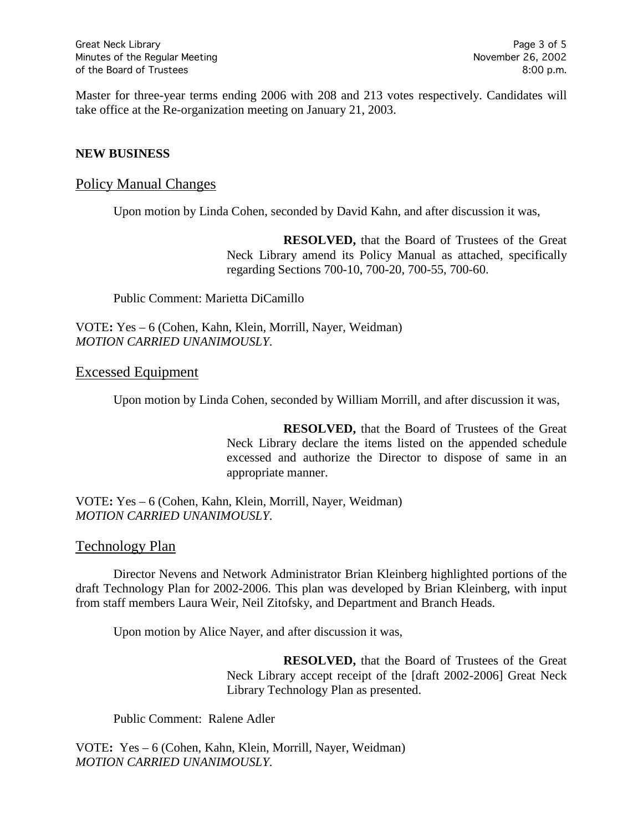Master for three-year terms ending 2006 with 208 and 213 votes respectively. Candidates will take office at the Re-organization meeting on January 21, 2003.

## **NEW BUSINESS**

## Policy Manual Changes

Upon motion by Linda Cohen, seconded by David Kahn, and after discussion it was,

**RESOLVED,** that the Board of Trustees of the Great Neck Library amend its Policy Manual as attached, specifically regarding Sections 700-10, 700-20, 700-55, 700-60.

Public Comment: Marietta DiCamillo

## VOTE**:** Yes – 6 (Cohen, Kahn, Klein, Morrill, Nayer, Weidman) *MOTION CARRIED UNANIMOUSLY.*

## Excessed Equipment

Upon motion by Linda Cohen, seconded by William Morrill, and after discussion it was,

**RESOLVED,** that the Board of Trustees of the Great Neck Library declare the items listed on the appended schedule excessed and authorize the Director to dispose of same in an appropriate manner.

VOTE**:** Yes – 6 (Cohen, Kahn, Klein, Morrill, Nayer, Weidman) *MOTION CARRIED UNANIMOUSLY.*

## Technology Plan

Director Nevens and Network Administrator Brian Kleinberg highlighted portions of the draft Technology Plan for 2002-2006. This plan was developed by Brian Kleinberg, with input from staff members Laura Weir, Neil Zitofsky, and Department and Branch Heads.

Upon motion by Alice Nayer, and after discussion it was,

**RESOLVED,** that the Board of Trustees of the Great Neck Library accept receipt of the [draft 2002-2006] Great Neck Library Technology Plan as presented.

Public Comment: Ralene Adler

VOTE**:** Yes – 6 (Cohen, Kahn, Klein, Morrill, Nayer, Weidman) *MOTION CARRIED UNANIMOUSLY.*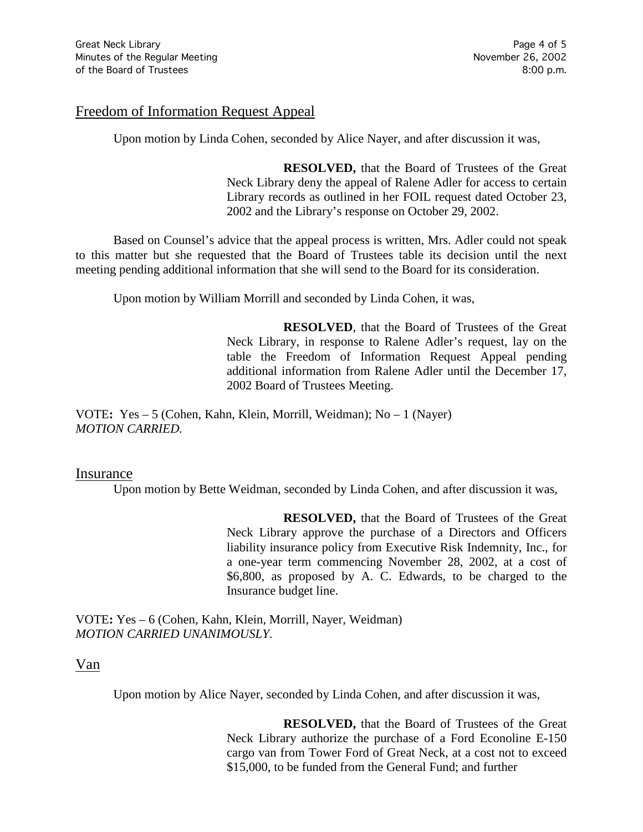## Freedom of Information Request Appeal

Upon motion by Linda Cohen, seconded by Alice Nayer, and after discussion it was,

**RESOLVED,** that the Board of Trustees of the Great Neck Library deny the appeal of Ralene Adler for access to certain Library records as outlined in her FOIL request dated October 23, 2002 and the Library's response on October 29, 2002.

Based on Counsel's advice that the appeal process is written, Mrs. Adler could not speak to this matter but she requested that the Board of Trustees table its decision until the next meeting pending additional information that she will send to the Board for its consideration.

Upon motion by William Morrill and seconded by Linda Cohen, it was,

**RESOLVED**, that the Board of Trustees of the Great Neck Library, in response to Ralene Adler's request, lay on the table the Freedom of Information Request Appeal pending additional information from Ralene Adler until the December 17, 2002 Board of Trustees Meeting.

VOTE**:** Yes – 5 (Cohen, Kahn, Klein, Morrill, Weidman); No – 1 (Nayer) *MOTION CARRIED.*

## Insurance

Upon motion by Bette Weidman, seconded by Linda Cohen, and after discussion it was,

**RESOLVED,** that the Board of Trustees of the Great Neck Library approve the purchase of a Directors and Officers liability insurance policy from Executive Risk Indemnity, Inc., for a one-year term commencing November 28, 2002, at a cost of \$6,800, as proposed by A. C. Edwards, to be charged to the Insurance budget line.

VOTE**:** Yes – 6 (Cohen, Kahn, Klein, Morrill, Nayer, Weidman) *MOTION CARRIED UNANIMOUSLY.*

Van

Upon motion by Alice Nayer, seconded by Linda Cohen, and after discussion it was,

**RESOLVED,** that the Board of Trustees of the Great Neck Library authorize the purchase of a Ford Econoline E-150 cargo van from Tower Ford of Great Neck, at a cost not to exceed \$15,000, to be funded from the General Fund; and further